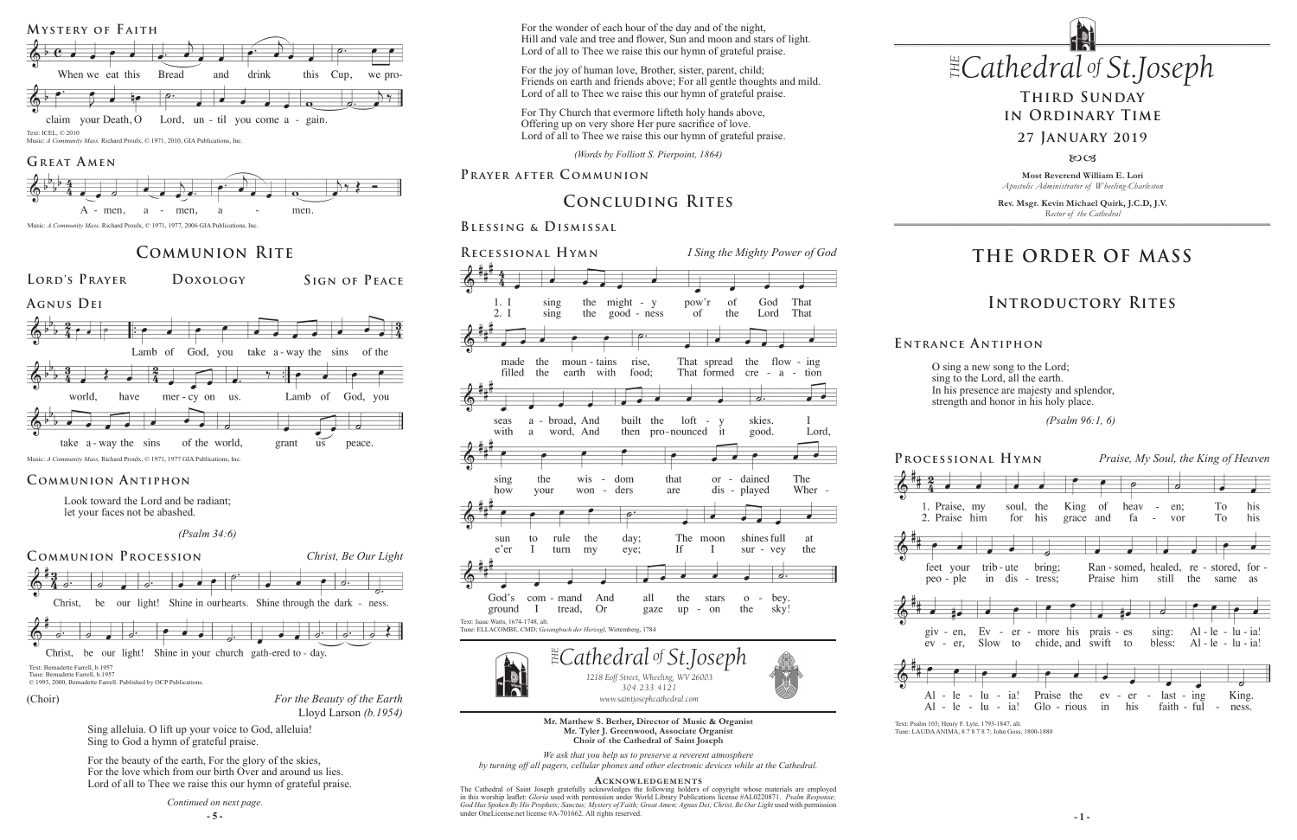# **THE ORDER OF MASS**

## **Introductory Rites**

# **Third Sunday in Ordinary Time**

#### **27 January 2019**

8003

# **Concluding Rites**



O sing a new song to the Lord; sing to the Lord, all the earth. In his presence are majesty and splendor, strength and honor in his holy place.

 *(Psalm 96:1, 6)*

**E ntrance A ntiphon**

Look toward the Lord and be radiant; let your faces not be abashed.

 *(Psalm 34:6)*

#### **Communion Antiphon**

## **Communion Rite Recessional Hymn**

#### **Blessing & Dismissal**

 $\exists$  *Cathedral* of *St Joseph 1218 Eoff Street, Wheeling, WV 26003 304.233.4121 304.233.4121 www.saintjosephcathedral.com www.saintjosephcathedral.com*



**Lord's Prayer Doxology Sign of Peace Agnus Dei** 



*Apostolic Administrator of Wheeling-Charleston*

**Rev. Msgr. Kevin Michael Quirk, J.C.D, J.V.** *Rector of the Cathedral*

Music: *A Community Mass,* Richard Proulx, © 1971, 1977 GIA Publications, Inc.

under OneLicense.net license #A-/01662. All rights reserved.<br>
— 5 – The Cathedral of Saint Joseph gratefully acknowledges the following holders of copyright whose materials are employed in this worship leaflet: *Gloria* used with permission under World Library Publications license #AL0220871. *Psalm Response;*  God Has Spoken By His Prophets; Sanctus; Mystery of Faith; Great Amen; Agnus Dei; Christ, Be Our Light used with permission under OneLicense.net license #A-701662. All rights reserved.



Text: Bernadette Farrell, b. 1957 Tune: Bernadette Farrell, b.1957 © 1993, 2000, Bernadette Farrell. Published by OCP Publications.

> **Mr. Matthew S. Berher, Director of Music & Organist Mr. Tyler J. Greenwood, Associate Organist Choir of the Cathedral of Saint Joseph**

*We ask that you help us to preserve a reverent atmosphere by turning off all pagers, cellular phones and other electronic devices while at the Cathedral.*

#### **Acknowledgement s**



For the wonder of each hour of the day and of the night,<br>Hill and vale and tree and flower, Sun and moon and stars of light. For the wonder of each hour of the day and of the night,<br>Hill and vale and tree and flower. Sun and moon and sta Lord of all to Thee we raise this our hymn of grateful praise.

For Thy Church that evermore lifteth holy hands above, Offering up on very shore Her pure sacrifice of love. Lord of all to Thee we raise this our hymn of grateful praise.



Christ, be our light! Shine in your church gath-ered to - day.

Music: *A Community Mass,* Richard Proulx, © 1971, 1977, 2006 GIA Publications, Inc.

Text: Psalm 103; Henry F. Lyte, 1793-1847, alt. Tune: LAUDA ANIMA, 8 7 8 7 8 7; John Goss, 1800-1880



Music: *A Community Mass,* Richard Proulx, © 1971, 2010, GIA Publications, Inc.

#### GREAT AMEN





(Choir)

Sing alleluia. O lift up your voice to God, alleluia! Sing to God a hymn of grateful praise.

For the beauty of the earth, For the glory of the skies, For the love which from our birth Over and around us lies. Lord of all to Thee we raise this our hymn of grateful praise.

*Continued on next page.*

*(Words by Folliott S. Pierpoint, 1864)*

#### **PRAYER AFTER COMMUNION Most Reverend William E. Lori Most Reverend William E. Lori**

For the joy of human love, Brother, sister, parent, child; Friends on earth and friends above; For all gentle thoughts and mild. Lord of all to Thee we raise this our hymn of grateful praise.